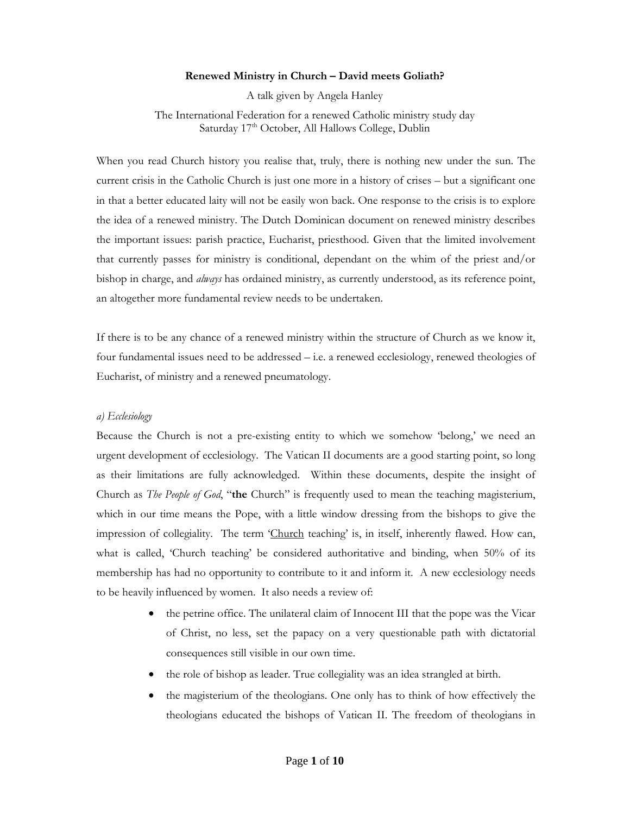### **Renewed Ministry in Church – David meets Goliath?**

A talk given by Angela Hanley

The International Federation for a renewed Catholic ministry study day Saturday 17<sup>th</sup> October, All Hallows College, Dublin

When you read Church history you realise that, truly, there is nothing new under the sun. The current crisis in the Catholic Church is just one more in a history of crises – but a significant one in that a better educated laity will not be easily won back. One response to the crisis is to explore the idea of a renewed ministry. The Dutch Dominican document on renewed ministry describes the important issues: parish practice, Eucharist, priesthood. Given that the limited involvement that currently passes for ministry is conditional, dependant on the whim of the priest and/or bishop in charge, and *always* has ordained ministry, as currently understood, as its reference point, an altogether more fundamental review needs to be undertaken.

If there is to be any chance of a renewed ministry within the structure of Church as we know it, four fundamental issues need to be addressed – i.e. a renewed ecclesiology, renewed theologies of Eucharist, of ministry and a renewed pneumatology.

## *a) Ecclesiology*

Because the Church is not a pre-existing entity to which we somehow 'belong,' we need an urgent development of ecclesiology. The Vatican II documents are a good starting point, so long as their limitations are fully acknowledged. Within these documents, despite the insight of Church as *The People of God*, "**the** Church" is frequently used to mean the teaching magisterium, which in our time means the Pope, with a little window dressing from the bishops to give the impression of collegiality. The term 'Church teaching' is, in itself, inherently flawed. How can, what is called, 'Church teaching' be considered authoritative and binding, when 50% of its membership has had no opportunity to contribute to it and inform it. A new ecclesiology needs to be heavily influenced by women. It also needs a review of:

- the petrine office. The unilateral claim of Innocent III that the pope was the Vicar of Christ, no less, set the papacy on a very questionable path with dictatorial consequences still visible in our own time.
- the role of bishop as leader. True collegiality was an idea strangled at birth.
- the magisterium of the theologians. One only has to think of how effectively the theologians educated the bishops of Vatican II. The freedom of theologians in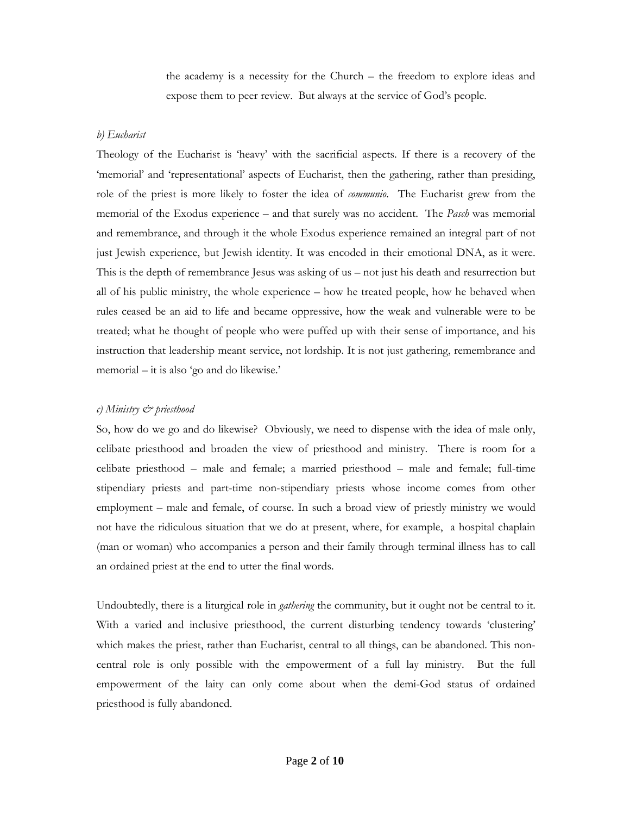the academy is a necessity for the Church – the freedom to explore ideas and expose them to peer review. But always at the service of God's people.

### *b) Eucharist*

Theology of the Eucharist is 'heavy' with the sacrificial aspects. If there is a recovery of the 'memorial' and 'representational' aspects of Eucharist, then the gathering, rather than presiding, role of the priest is more likely to foster the idea of *communio*. The Eucharist grew from the memorial of the Exodus experience – and that surely was no accident. The *Pasch* was memorial and remembrance, and through it the whole Exodus experience remained an integral part of not just Jewish experience, but Jewish identity. It was encoded in their emotional DNA, as it were. This is the depth of remembrance Jesus was asking of us – not just his death and resurrection but all of his public ministry, the whole experience – how he treated people, how he behaved when rules ceased be an aid to life and became oppressive, how the weak and vulnerable were to be treated; what he thought of people who were puffed up with their sense of importance, and his instruction that leadership meant service, not lordship. It is not just gathering, remembrance and memorial – it is also 'go and do likewise.'

## *c) Ministry & priesthood*

So, how do we go and do likewise? Obviously, we need to dispense with the idea of male only, celibate priesthood and broaden the view of priesthood and ministry. There is room for a celibate priesthood – male and female; a married priesthood – male and female; full-time stipendiary priests and part-time non-stipendiary priests whose income comes from other employment – male and female, of course. In such a broad view of priestly ministry we would not have the ridiculous situation that we do at present, where, for example, a hospital chaplain (man or woman) who accompanies a person and their family through terminal illness has to call an ordained priest at the end to utter the final words.

Undoubtedly, there is a liturgical role in *gathering* the community, but it ought not be central to it. With a varied and inclusive priesthood, the current disturbing tendency towards 'clustering' which makes the priest, rather than Eucharist, central to all things, can be abandoned. This noncentral role is only possible with the empowerment of a full lay ministry. But the full empowerment of the laity can only come about when the demi-God status of ordained priesthood is fully abandoned.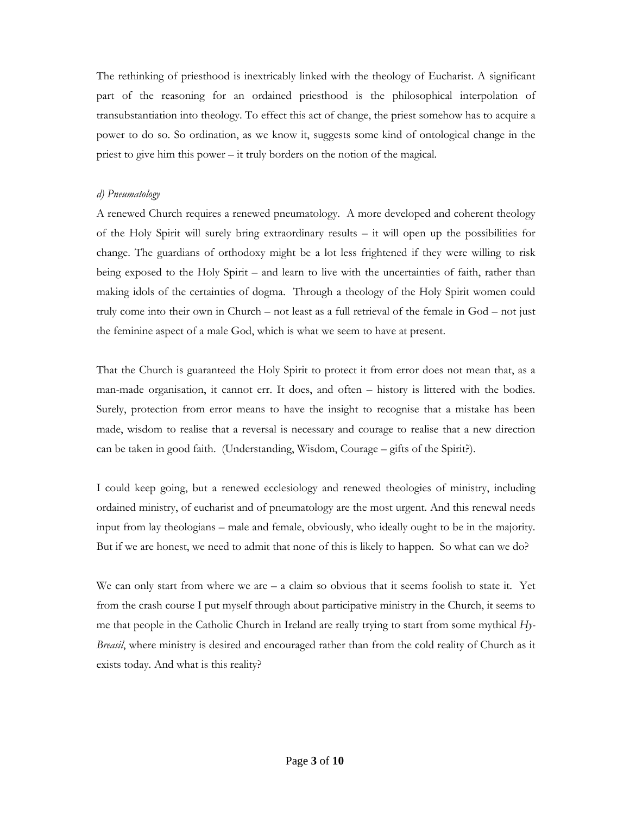The rethinking of priesthood is inextricably linked with the theology of Eucharist. A significant part of the reasoning for an ordained priesthood is the philosophical interpolation of transubstantiation into theology. To effect this act of change, the priest somehow has to acquire a power to do so. So ordination, as we know it, suggests some kind of ontological change in the priest to give him this power – it truly borders on the notion of the magical.

## *d) Pneumatology*

A renewed Church requires a renewed pneumatology. A more developed and coherent theology of the Holy Spirit will surely bring extraordinary results  $-$  it will open up the possibilities for change. The guardians of orthodoxy might be a lot less frightened if they were willing to risk being exposed to the Holy Spirit – and learn to live with the uncertainties of faith, rather than making idols of the certainties of dogma. Through a theology of the Holy Spirit women could truly come into their own in Church – not least as a full retrieval of the female in God – not just the feminine aspect of a male God, which is what we seem to have at present.

That the Church is guaranteed the Holy Spirit to protect it from error does not mean that, as a man-made organisation, it cannot err. It does, and often – history is littered with the bodies. Surely, protection from error means to have the insight to recognise that a mistake has been made, wisdom to realise that a reversal is necessary and courage to realise that a new direction can be taken in good faith. (Understanding, Wisdom, Courage – gifts of the Spirit?).

I could keep going, but a renewed ecclesiology and renewed theologies of ministry, including ordained ministry, of eucharist and of pneumatology are the most urgent. And this renewal needs input from lay theologians – male and female, obviously, who ideally ought to be in the majority. But if we are honest, we need to admit that none of this is likely to happen. So what can we do?

We can only start from where we are  $-$  a claim so obvious that it seems foolish to state it. Yet from the crash course I put myself through about participative ministry in the Church, it seems to me that people in the Catholic Church in Ireland are really trying to start from some mythical *Hy-Breasil*, where ministry is desired and encouraged rather than from the cold reality of Church as it exists today. And what is this reality?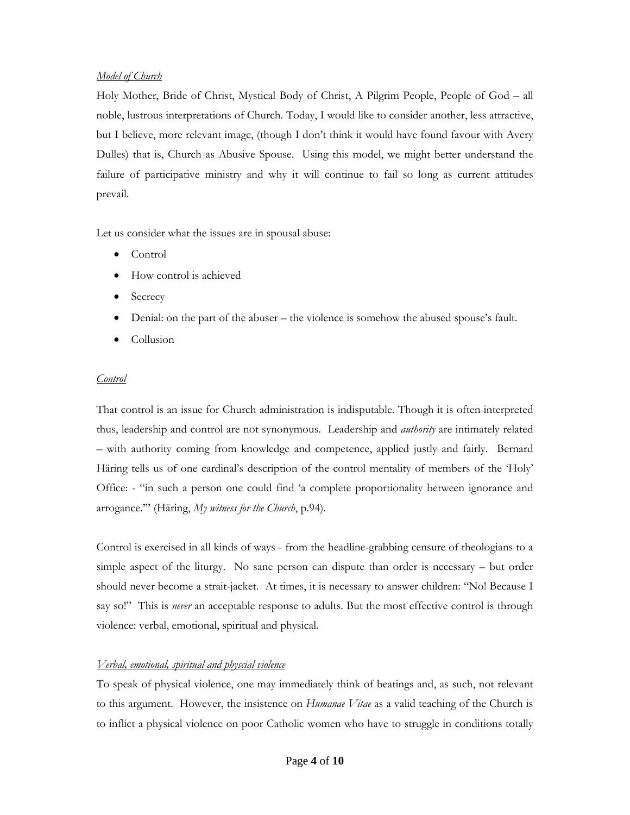# *Model of Church*

Holy Mother, Bride of Christ, Mystical Body of Christ, A Pilgrim People, People of God – all noble, lustrous interpretations of Church. Today, I would like to consider another, less attractive, but I believe, more relevant image, (though I don't think it would have found favour with Avery Dulles) that is, Church as Abusive Spouse. Using this model, we might better understand the failure of participative ministry and why it will continue to fail so long as current attitudes prevail.

Let us consider what the issues are in spousal abuse:

- Control
- How control is achieved
- **Secrecy**
- Denial: on the part of the abuser the violence is somehow the abused spouse's fault.
- Collusion

## *Control*

That control is an issue for Church administration is indisputable. Though it is often interpreted thus, leadership and control are not synonymous. Leadership and *authority* are intimately related – with authority coming from knowledge and competence, applied justly and fairly. Bernard Häring tells us of one cardinal's description of the control mentality of members of the 'Holy' Office: - "in such a person one could find 'a complete proportionality between ignorance and arrogance.'" (Häring, *My witness for the Church*, p.94).

Control is exercised in all kinds of ways - from the headline-grabbing censure of theologians to a simple aspect of the liturgy. No sane person can dispute than order is necessary – but order should never become a strait-jacket. At times, it is necessary to answer children: "No! Because I say so!" This is *never* an acceptable response to adults. But the most effective control is through violence: verbal, emotional, spiritual and physical.

# *Verbal, emotional, spiritual and physcial violence*

To speak of physical violence, one may immediately think of beatings and, as such, not relevant to this argument. However, the insistence on *Humanae Vitae* as a valid teaching of the Church is to inflict a physical violence on poor Catholic women who have to struggle in conditions totally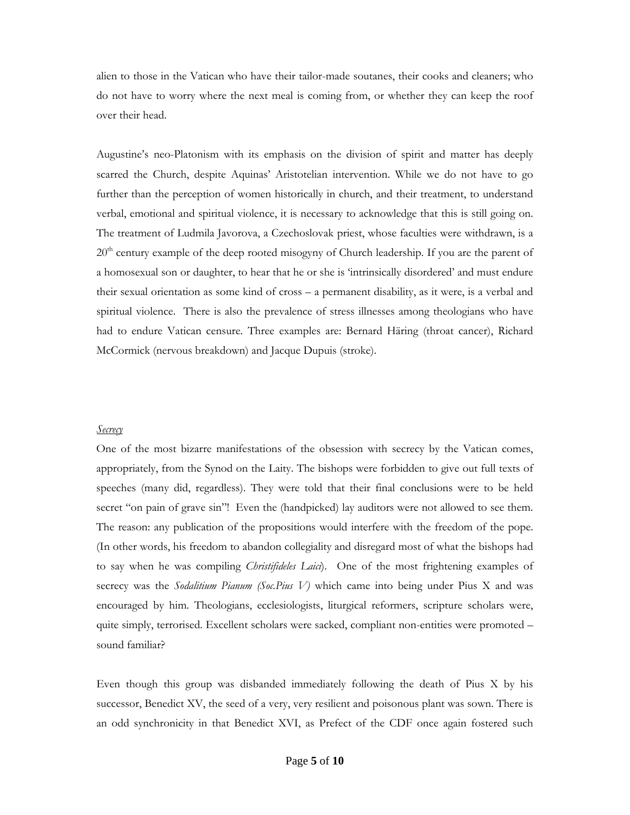alien to those in the Vatican who have their tailor-made soutanes, their cooks and cleaners; who do not have to worry where the next meal is coming from, or whether they can keep the roof over their head.

Augustine's neo-Platonism with its emphasis on the division of spirit and matter has deeply scarred the Church, despite Aquinas' Aristotelian intervention. While we do not have to go further than the perception of women historically in church, and their treatment, to understand verbal, emotional and spiritual violence, it is necessary to acknowledge that this is still going on. The treatment of Ludmila Javorova, a Czechoslovak priest, whose faculties were withdrawn, is a 20<sup>th</sup> century example of the deep rooted misogyny of Church leadership. If you are the parent of a homosexual son or daughter, to hear that he or she is 'intrinsically disordered' and must endure their sexual orientation as some kind of cross – a permanent disability, as it were, is a verbal and spiritual violence. There is also the prevalence of stress illnesses among theologians who have had to endure Vatican censure. Three examples are: Bernard Häring (throat cancer), Richard McCormick (nervous breakdown) and Jacque Dupuis (stroke).

#### *Secrecy*

One of the most bizarre manifestations of the obsession with secrecy by the Vatican comes, appropriately, from the Synod on the Laity. The bishops were forbidden to give out full texts of speeches (many did, regardless). They were told that their final conclusions were to be held secret "on pain of grave sin"! Even the (handpicked) lay auditors were not allowed to see them. The reason: any publication of the propositions would interfere with the freedom of the pope. (In other words, his freedom to abandon collegiality and disregard most of what the bishops had to say when he was compiling *Christifideles Laici*). One of the most frightening examples of secrecy was the *Sodalitium Pianum (Soc.Pius V)* which came into being under Pius X and was encouraged by him. Theologians, ecclesiologists, liturgical reformers, scripture scholars were, quite simply, terrorised. Excellent scholars were sacked, compliant non-entities were promoted – sound familiar?

Even though this group was disbanded immediately following the death of Pius X by his successor, Benedict XV, the seed of a very, very resilient and poisonous plant was sown. There is an odd synchronicity in that Benedict XVI, as Prefect of the CDF once again fostered such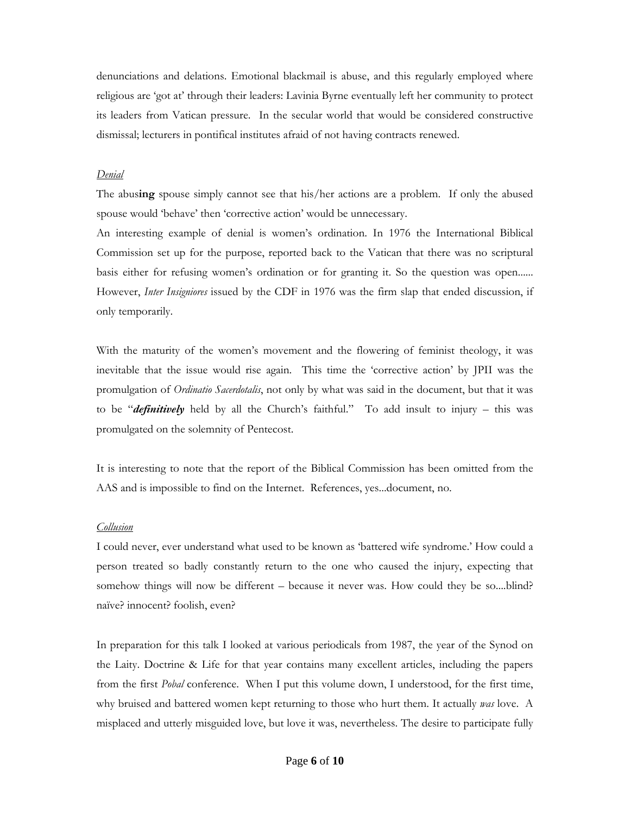denunciations and delations. Emotional blackmail is abuse, and this regularly employed where religious are 'got at' through their leaders: Lavinia Byrne eventually left her community to protect its leaders from Vatican pressure. In the secular world that would be considered constructive dismissal; lecturers in pontifical institutes afraid of not having contracts renewed.

#### *Denial*

The abus**ing** spouse simply cannot see that his/her actions are a problem. If only the abused spouse would 'behave' then 'corrective action' would be unnecessary.

An interesting example of denial is women's ordination. In 1976 the International Biblical Commission set up for the purpose, reported back to the Vatican that there was no scriptural basis either for refusing women's ordination or for granting it. So the question was open...... However, *Inter Insigniores* issued by the CDF in 1976 was the firm slap that ended discussion, if only temporarily.

With the maturity of the women's movement and the flowering of feminist theology, it was inevitable that the issue would rise again. This time the 'corrective action' by JPII was the promulgation of *Ordinatio Sacerdotalis*, not only by what was said in the document, but that it was to be "*definitively* held by all the Church's faithful." To add insult to injury – this was promulgated on the solemnity of Pentecost.

It is interesting to note that the report of the Biblical Commission has been omitted from the AAS and is impossible to find on the Internet. References, yes...document, no.

## *Collusion*

I could never, ever understand what used to be known as 'battered wife syndrome.' How could a person treated so badly constantly return to the one who caused the injury, expecting that somehow things will now be different – because it never was. How could they be so....blind? naïve? innocent? foolish, even?

In preparation for this talk I looked at various periodicals from 1987, the year of the Synod on the Laity. Doctrine & Life for that year contains many excellent articles, including the papers from the first *Pobal* conference. When I put this volume down, I understood, for the first time, why bruised and battered women kept returning to those who hurt them. It actually *was* love. A misplaced and utterly misguided love, but love it was, nevertheless. The desire to participate fully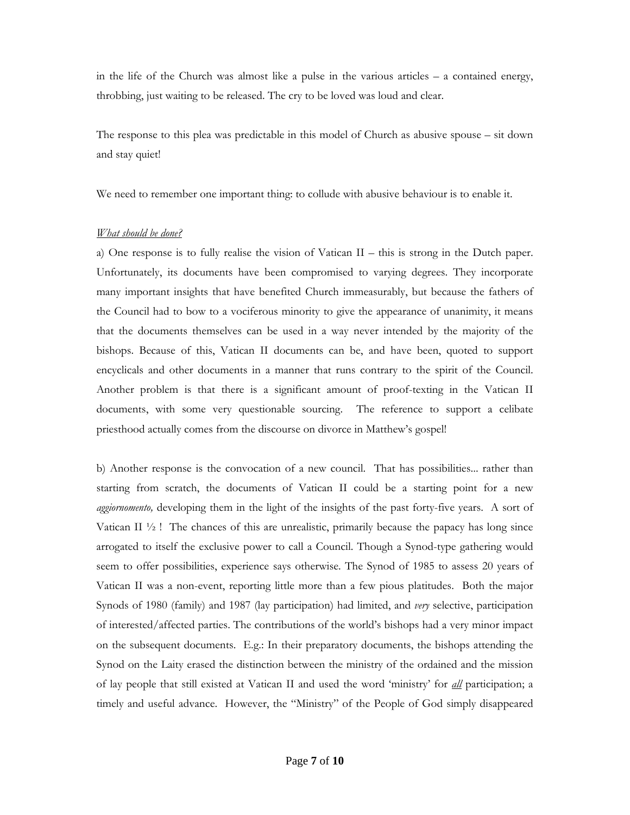in the life of the Church was almost like a pulse in the various articles – a contained energy, throbbing, just waiting to be released. The cry to be loved was loud and clear.

The response to this plea was predictable in this model of Church as abusive spouse – sit down and stay quiet!

We need to remember one important thing: to collude with abusive behaviour is to enable it.

# *What should be done?*

a) One response is to fully realise the vision of Vatican II – this is strong in the Dutch paper. Unfortunately, its documents have been compromised to varying degrees. They incorporate many important insights that have benefited Church immeasurably, but because the fathers of the Council had to bow to a vociferous minority to give the appearance of unanimity, it means that the documents themselves can be used in a way never intended by the majority of the bishops. Because of this, Vatican II documents can be, and have been, quoted to support encyclicals and other documents in a manner that runs contrary to the spirit of the Council. Another problem is that there is a significant amount of proof-texting in the Vatican II documents, with some very questionable sourcing. The reference to support a celibate priesthood actually comes from the discourse on divorce in Matthew's gospel!

b) Another response is the convocation of a new council. That has possibilities... rather than starting from scratch, the documents of Vatican II could be a starting point for a new *aggiornomento,* developing them in the light of the insights of the past forty-five years. A sort of Vatican II  $\frac{1}{2}$ ! The chances of this are unrealistic, primarily because the papacy has long since arrogated to itself the exclusive power to call a Council. Though a Synod-type gathering would seem to offer possibilities, experience says otherwise. The Synod of 1985 to assess 20 years of Vatican II was a non-event, reporting little more than a few pious platitudes. Both the major Synods of 1980 (family) and 1987 (lay participation) had limited, and *very* selective, participation of interested/affected parties. The contributions of the world's bishops had a very minor impact on the subsequent documents. E.g.: In their preparatory documents, the bishops attending the Synod on the Laity erased the distinction between the ministry of the ordained and the mission of lay people that still existed at Vatican II and used the word 'ministry' for *all* participation; a timely and useful advance. However, the "Ministry" of the People of God simply disappeared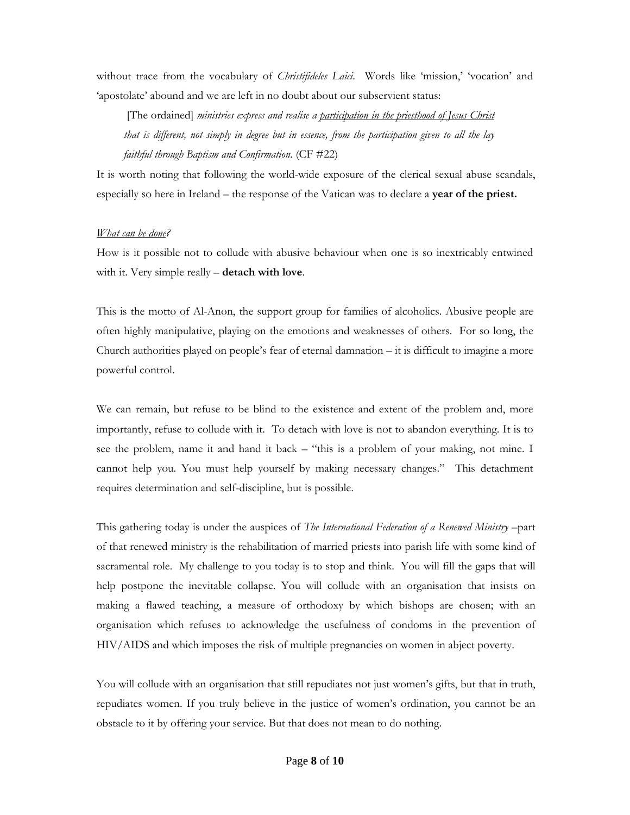without trace from the vocabulary of *Christifideles Laici*. Words like 'mission,' 'vocation' and 'apostolate' abound and we are left in no doubt about our subservient status:

[The ordained] *ministries express and realise a participation in the priesthood of Jesus Christ that is different, not simply in degree but in essence, from the participation given to all the lay faithful through Baptism and Confirmation.* (CF #22)

It is worth noting that following the world-wide exposure of the clerical sexual abuse scandals, especially so here in Ireland – the response of the Vatican was to declare a **year of the priest.**

#### *What can be done?*

How is it possible not to collude with abusive behaviour when one is so inextricably entwined with it. Very simple really – **detach with love**.

This is the motto of Al-Anon, the support group for families of alcoholics. Abusive people are often highly manipulative, playing on the emotions and weaknesses of others. For so long, the Church authorities played on people's fear of eternal damnation – it is difficult to imagine a more powerful control.

We can remain, but refuse to be blind to the existence and extent of the problem and, more importantly, refuse to collude with it. To detach with love is not to abandon everything. It is to see the problem, name it and hand it back – "this is a problem of your making, not mine. I cannot help you. You must help yourself by making necessary changes." This detachment requires determination and self-discipline, but is possible.

This gathering today is under the auspices of *The International Federation of a Renewed Ministry* –part of that renewed ministry is the rehabilitation of married priests into parish life with some kind of sacramental role. My challenge to you today is to stop and think. You will fill the gaps that will help postpone the inevitable collapse. You will collude with an organisation that insists on making a flawed teaching, a measure of orthodoxy by which bishops are chosen; with an organisation which refuses to acknowledge the usefulness of condoms in the prevention of HIV/AIDS and which imposes the risk of multiple pregnancies on women in abject poverty.

You will collude with an organisation that still repudiates not just women's gifts, but that in truth, repudiates women. If you truly believe in the justice of women's ordination, you cannot be an obstacle to it by offering your service. But that does not mean to do nothing.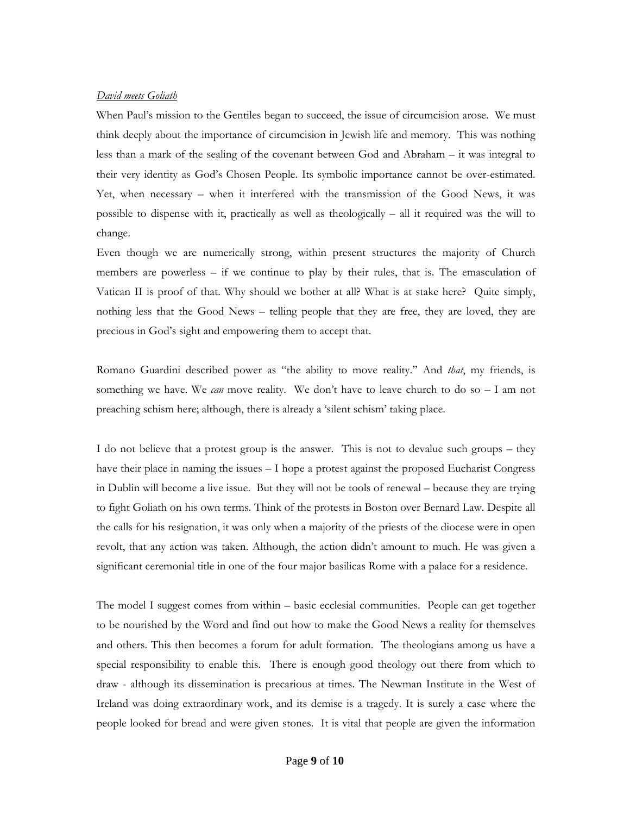### *David meets Goliath*

When Paul's mission to the Gentiles began to succeed, the issue of circumcision arose. We must think deeply about the importance of circumcision in Jewish life and memory. This was nothing less than a mark of the sealing of the covenant between God and Abraham – it was integral to their very identity as God's Chosen People. Its symbolic importance cannot be over-estimated. Yet, when necessary – when it interfered with the transmission of the Good News, it was possible to dispense with it, practically as well as theologically – all it required was the will to change.

Even though we are numerically strong, within present structures the majority of Church members are powerless – if we continue to play by their rules, that is. The emasculation of Vatican II is proof of that. Why should we bother at all? What is at stake here? Quite simply, nothing less that the Good News – telling people that they are free, they are loved, they are precious in God's sight and empowering them to accept that.

Romano Guardini described power as "the ability to move reality." And *that*, my friends, is something we have. We *can* move reality. We don't have to leave church to do so – I am not preaching schism here; although, there is already a 'silent schism' taking place.

I do not believe that a protest group is the answer. This is not to devalue such groups – they have their place in naming the issues – I hope a protest against the proposed Eucharist Congress in Dublin will become a live issue. But they will not be tools of renewal – because they are trying to fight Goliath on his own terms. Think of the protests in Boston over Bernard Law. Despite all the calls for his resignation, it was only when a majority of the priests of the diocese were in open revolt, that any action was taken. Although, the action didn't amount to much. He was given a significant ceremonial title in one of the four major basilicas Rome with a palace for a residence.

The model I suggest comes from within – basic ecclesial communities. People can get together to be nourished by the Word and find out how to make the Good News a reality for themselves and others. This then becomes a forum for adult formation. The theologians among us have a special responsibility to enable this. There is enough good theology out there from which to draw - although its dissemination is precarious at times. The Newman Institute in the West of Ireland was doing extraordinary work, and its demise is a tragedy. It is surely a case where the people looked for bread and were given stones. It is vital that people are given the information